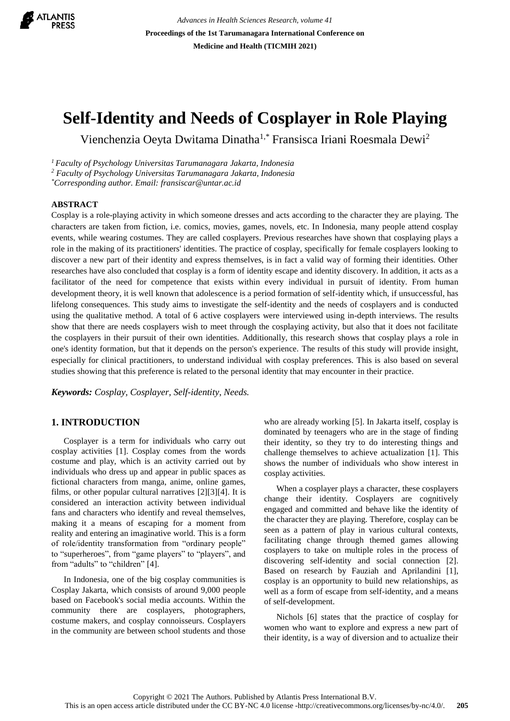

*Advances in Health Sciences Research, volume 41* **Proceedings of the 1st Tarumanagara International Conference on Medicine and Health (TICMIH 2021)**

# **Self-Identity and Needs of Cosplayer in Role Playing**

Vienchenzia Oeyta Dwitama Dinatha1,\* Fransisca Iriani Roesmala Dewi<sup>2</sup>

*<sup>1</sup>Faculty of Psychology Universitas Tarumanagara Jakarta, Indonesia*

*<sup>2</sup> Faculty of Psychology Universitas Tarumanagara Jakarta, Indonesia*

*\*Corresponding author. Email: fransiscar@untar.ac.id*

## **ABSTRACT**

Cosplay is a role-playing activity in which someone dresses and acts according to the character they are playing. The characters are taken from fiction, i.e. comics, movies, games, novels, etc. In Indonesia, many people attend cosplay events, while wearing costumes. They are called cosplayers. Previous researches have shown that cosplaying plays a role in the making of its practitioners' identities. The practice of cosplay, specifically for female cosplayers looking to discover a new part of their identity and express themselves, is in fact a valid way of forming their identities. Other researches have also concluded that cosplay is a form of identity escape and identity discovery. In addition, it acts as a facilitator of the need for competence that exists within every individual in pursuit of identity. From human development theory, it is well known that adolescence is a period formation of self-identity which, if unsuccessful, has lifelong consequences. This study aims to investigate the self-identity and the needs of cosplayers and is conducted using the qualitative method. A total of 6 active cosplayers were interviewed using in-depth interviews. The results show that there are needs cosplayers wish to meet through the cosplaying activity, but also that it does not facilitate the cosplayers in their pursuit of their own identities. Additionally, this research shows that cosplay plays a role in one's identity formation, but that it depends on the person's experience. The results of this study will provide insight, especially for clinical practitioners, to understand individual with cosplay preferences. This is also based on several studies showing that this preference is related to the personal identity that may encounter in their practice.

*Keywords: Cosplay, Cosplayer, Self-identity, Needs.*

# **1. INTRODUCTION**

Cosplayer is a term for individuals who carry out cosplay activities [1]. Cosplay comes from the words costume and play, which is an activity carried out by individuals who dress up and appear in public spaces as fictional characters from manga, anime, online games, films, or other popular cultural narratives [2][3][4]. It is considered an interaction activity between individual fans and characters who identify and reveal themselves, making it a means of escaping for a moment from reality and entering an imaginative world. This is a form of role/identity transformation from "ordinary people" to "superheroes", from "game players" to "players", and from "adults" to "children" [4].

In Indonesia, one of the big cosplay communities is Cosplay Jakarta, which consists of around 9,000 people based on Facebook's social media accounts. Within the community there are cosplayers, photographers, costume makers, and cosplay connoisseurs. Cosplayers in the community are between school students and those who are already working [5]. In Jakarta itself, cosplay is dominated by teenagers who are in the stage of finding their identity, so they try to do interesting things and challenge themselves to achieve actualization [1]. This shows the number of individuals who show interest in cosplay activities.

When a cosplayer plays a character, these cosplayers change their identity. Cosplayers are cognitively engaged and committed and behave like the identity of the character they are playing. Therefore, cosplay can be seen as a pattern of play in various cultural contexts, facilitating change through themed games allowing cosplayers to take on multiple roles in the process of discovering self-identity and social connection [2]. Based on research by Fauziah and Aprilandini [1], cosplay is an opportunity to build new relationships, as well as a form of escape from self-identity, and a means of self-development.

Nichols [6] states that the practice of cosplay for women who want to explore and express a new part of their identity, is a way of diversion and to actualize their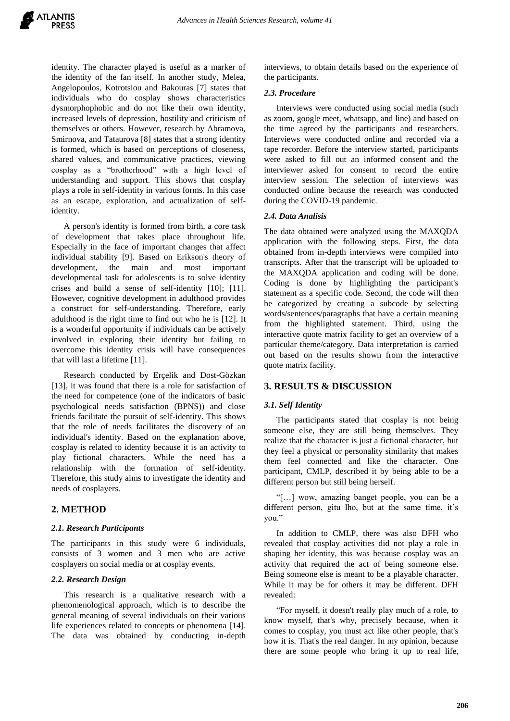identity. The character played is useful as a marker of the identity of the fan itself. In another study, Melea, Angelopoulos, Kotrotsiou and Bakouras [7] states that individuals who do cosplay shows characteristics dysmorphophobic and do not like their own identity, increased levels of depression, hostility and criticism of themselves or others. However, research by Abramova, Smirnova, and Tataurova [8] states that a strong identity is formed, which is based on perceptions of closeness, shared values, and communicative practices, viewing cosplay as a "brotherhood" with a high level of understanding and support. This shows that cosplay plays a role in self-identity in various forms. In this case as an escape, exploration, and actualization of selfidentity.

A person's identity is formed from birth, a core task of development that takes place throughout life. Especially in the face of important changes that affect individual stability [9]. Based on Erikson's theory of development, the main and most important developmental task for adolescents is to solve identity crises and build a sense of self-identity [10]; [11]. However, cognitive development in adulthood provides a construct for self-understanding. Therefore, early adulthood is the right time to find out who he is [12]. It is a wonderful opportunity if individuals can be actively involved in exploring their identity but failing to overcome this identity crisis will have consequences that will last a lifetime [11].

Research conducted by Erçelik and Dost-Gözkan [13], it was found that there is a role for satisfaction of the need for competence (one of the indicators of basic psychological needs satisfaction (BPNS)) and close friends facilitate the pursuit of self-identity. This shows that the role of needs facilitates the discovery of an individual's identity. Based on the explanation above, cosplay is related to identity because it is an activity to play fictional characters. While the need has a relationship with the formation of self-identity. Therefore, this study aims to investigate the identity and needs of cosplayers.

## **2. METHOD**

#### *2.1. Research Participants*

The participants in this study were 6 individuals, consists of 3 women and 3 men who are active cosplayers on social media or at cosplay events.

### *2.2. Research Design*

This research is a qualitative research with a phenomenological approach, which is to describe the general meaning of several individuals on their various life experiences related to concepts or phenomena [14]. The data was obtained by conducting in-depth interviews, to obtain details based on the experience of the participants.

#### *2.3. Procedure*

Interviews were conducted using social media (such as zoom, google meet, whatsapp, and line) and based on the time agreed by the participants and researchers. Interviews were conducted online and recorded via a tape recorder. Before the interview started, participants were asked to fill out an informed consent and the interviewer asked for consent to record the entire interview session. The selection of interviews was conducted online because the research was conducted during the COVID-19 pandemic.

#### *2.4. Data Analisis*

The data obtained were analyzed using the MAXQDA application with the following steps. First, the data obtained from in-depth interviews were compiled into transcripts. After that the transcript will be uploaded to the MAXQDA application and coding will be done. Coding is done by highlighting the participant's statement as a specific code. Second, the code will then be categorized by creating a subcode by selecting words/sentences/paragraphs that have a certain meaning from the highlighted statement. Third, using the interactive quote matrix facility to get an overview of a particular theme/category. Data interpretation is carried out based on the results shown from the interactive quote matrix facility.

#### **3. RESULTS & DISCUSSION**

#### *3.1. Self Identity*

The participants stated that cosplay is not being someone else, they are still being themselves. They realize that the character is just a fictional character, but they feel a physical or personality similarity that makes them feel connected and like the character. One participant, CMLP, described it by being able to be a different person but still being herself.

"[…] wow, amazing banget people, you can be a different person, gitu lho, but at the same time, it's you."

In addition to CMLP, there was also DFH who revealed that cosplay activities did not play a role in shaping her identity, this was because cosplay was an activity that required the act of being someone else. Being someone else is meant to be a playable character. While it may be for others it may be different. DFH revealed:

"For myself, it doesn't really play much of a role, to know myself, that's why, precisely because, when it comes to cosplay, you must act like other people, that's how it is. That's the real danger. In my opinion, because there are some people who bring it up to real life,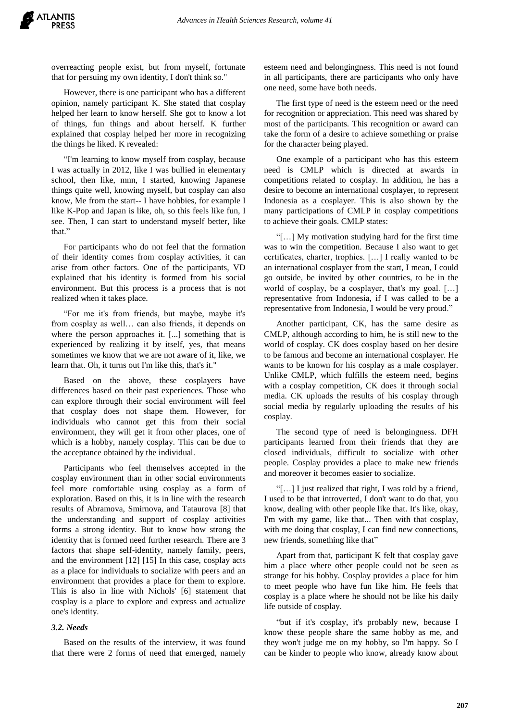overreacting people exist, but from myself, fortunate that for persuing my own identity, I don't think so."

However, there is one participant who has a different opinion, namely participant K. She stated that cosplay helped her learn to know herself. She got to know a lot of things, fun things and about herself. K further explained that cosplay helped her more in recognizing the things he liked. K revealed:

"I'm learning to know myself from cosplay, because I was actually in 2012, like I was bullied in elementary school, then like, mnn, I started, knowing Japanese things quite well, knowing myself, but cosplay can also know, Me from the start-- I have hobbies, for example I like K-Pop and Japan is like, oh, so this feels like fun, I see. Then, I can start to understand myself better, like that."

For participants who do not feel that the formation of their identity comes from cosplay activities, it can arise from other factors. One of the participants, VD explained that his identity is formed from his social environment. But this process is a process that is not realized when it takes place.

"For me it's from friends, but maybe, maybe it's from cosplay as well… can also friends, it depends on where the person approaches it. [...] something that is experienced by realizing it by itself, yes, that means sometimes we know that we are not aware of it, like, we learn that. Oh, it turns out I'm like this, that's it."

Based on the above, these cosplayers have differences based on their past experiences. Those who can explore through their social environment will feel that cosplay does not shape them. However, for individuals who cannot get this from their social environment, they will get it from other places, one of which is a hobby, namely cosplay. This can be due to the acceptance obtained by the individual.

Participants who feel themselves accepted in the cosplay environment than in other social environments feel more comfortable using cosplay as a form of exploration. Based on this, it is in line with the research results of Abramova, Smirnova, and Tataurova [8] that the understanding and support of cosplay activities forms a strong identity. But to know how strong the identity that is formed need further research. There are 3 factors that shape self-identity, namely family, peers, and the environment [12] [15] In this case, cosplay acts as a place for individuals to socialize with peers and an environment that provides a place for them to explore. This is also in line with Nichols' [6] statement that cosplay is a place to explore and express and actualize one's identity.

#### *3.2. Needs*

Based on the results of the interview, it was found that there were 2 forms of need that emerged, namely

esteem need and belongingness. This need is not found in all participants, there are participants who only have one need, some have both needs.

The first type of need is the esteem need or the need for recognition or appreciation. This need was shared by most of the participants. This recognition or award can take the form of a desire to achieve something or praise for the character being played.

One example of a participant who has this esteem need is CMLP which is directed at awards in competitions related to cosplay. In addition, he has a desire to become an international cosplayer, to represent Indonesia as a cosplayer. This is also shown by the many participations of CMLP in cosplay competitions to achieve their goals. CMLP states:

"[…] My motivation studying hard for the first time was to win the competition. Because I also want to get certificates, charter, trophies. […] I really wanted to be an international cosplayer from the start, I mean, I could go outside, be invited by other countries, to be in the world of cosplay, be a cosplayer, that's my goal. […] representative from Indonesia, if I was called to be a representative from Indonesia, I would be very proud."

Another participant, CK, has the same desire as CMLP, although according to him, he is still new to the world of cosplay. CK does cosplay based on her desire to be famous and become an international cosplayer. He wants to be known for his cosplay as a male cosplayer. Unlike CMLP, which fulfills the esteem need, begins with a cosplay competition, CK does it through social media. CK uploads the results of his cosplay through social media by regularly uploading the results of his cosplay.

The second type of need is belongingness. DFH participants learned from their friends that they are closed individuals, difficult to socialize with other people. Cosplay provides a place to make new friends and moreover it becomes easier to socialize.

"[…] I just realized that right, I was told by a friend, I used to be that introverted, I don't want to do that, you know, dealing with other people like that. It's like, okay, I'm with my game, like that... Then with that cosplay, with me doing that cosplay, I can find new connections, new friends, something like that"

Apart from that, participant K felt that cosplay gave him a place where other people could not be seen as strange for his hobby. Cosplay provides a place for him to meet people who have fun like him. He feels that cosplay is a place where he should not be like his daily life outside of cosplay.

"but if it's cosplay, it's probably new, because I know these people share the same hobby as me, and they won't judge me on my hobby, so I'm happy. So I can be kinder to people who know, already know about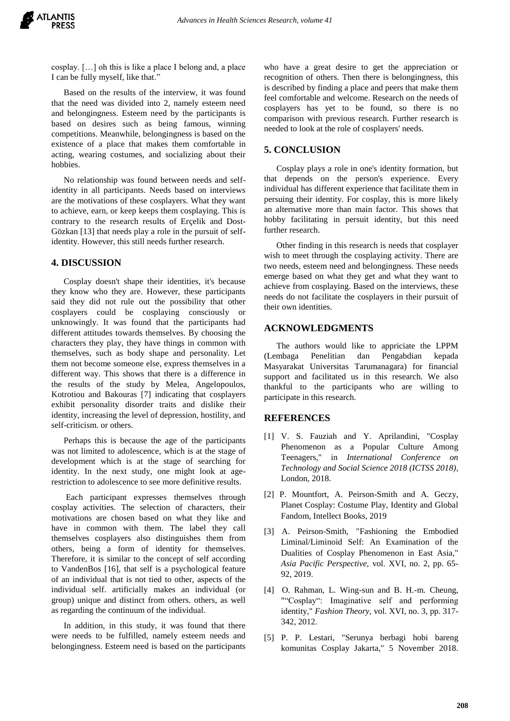cosplay. […] oh this is like a place I belong and, a place I can be fully myself, like that."

Based on the results of the interview, it was found that the need was divided into 2, namely esteem need and belongingness. Esteem need by the participants is based on desires such as being famous, winning competitions. Meanwhile, belongingness is based on the existence of a place that makes them comfortable in acting, wearing costumes, and socializing about their hobbies.

No relationship was found between needs and selfidentity in all participants. Needs based on interviews are the motivations of these cosplayers. What they want to achieve, earn, or keep keeps them cosplaying. This is contrary to the research results of Erçelik and Dost-Gözkan [13] that needs play a role in the pursuit of selfidentity. However, this still needs further research.

# **4. DISCUSSION**

Cosplay doesn't shape their identities, it's because they know who they are. However, these participants said they did not rule out the possibility that other cosplayers could be cosplaying consciously or unknowingly. It was found that the participants had different attitudes towards themselves. By choosing the characters they play, they have things in common with themselves, such as body shape and personality. Let them not become someone else, express themselves in a different way. This shows that there is a difference in the results of the study by Melea, Angelopoulos, Kotrotiou and Bakouras [7] indicating that cosplayers exhibit personality disorder traits and dislike their identity, increasing the level of depression, hostility, and self-criticism. or others.

Perhaps this is because the age of the participants was not limited to adolescence, which is at the stage of development which is at the stage of searching for identity. In the next study, one might look at agerestriction to adolescence to see more definitive results.

Each participant expresses themselves through cosplay activities. The selection of characters, their motivations are chosen based on what they like and have in common with them. The label they call themselves cosplayers also distinguishes them from others, being a form of identity for themselves. Therefore, it is similar to the concept of self according to VandenBos [16], that self is a psychological feature of an individual that is not tied to other, aspects of the individual self. artificially makes an individual (or group) unique and distinct from others. others, as well as regarding the continuum of the individual.

In addition, in this study, it was found that there were needs to be fulfilled, namely esteem needs and belongingness. Esteem need is based on the participants

who have a great desire to get the appreciation or recognition of others. Then there is belongingness, this is described by finding a place and peers that make them feel comfortable and welcome. Research on the needs of cosplayers has yet to be found, so there is no comparison with previous research. Further research is needed to look at the role of cosplayers' needs.

# **5. CONCLUSION**

Cosplay plays a role in one's identity formation, but that depends on the person's experience. Every individual has different experience that facilitate them in persuing their identity. For cosplay, this is more likely an alternative more than main factor. This shows that hobby facilitating in persuit identity, but this need further research.

Other finding in this research is needs that cosplayer wish to meet through the cosplaying activity. There are two needs, esteem need and belongingness. These needs emerge based on what they get and what they want to achieve from cosplaying. Based on the interviews, these needs do not facilitate the cosplayers in their pursuit of their own identities.

# **ACKNOWLEDGMENTS**

The authors would like to appriciate the LPPM (Lembaga Penelitian dan Pengabdian kepada Masyarakat Universitas Tarumanagara) for financial support and facilitated us in this research. We also thankful to the participants who are willing to participate in this research.

## **REFERENCES**

- [1] V. S. Fauziah and Y. Aprilandini, "Cosplay Phenomenon as a Popular Culture Among Teenagers," in *International Conference on Technology and Social Science 2018 (ICTSS 2018)*, London, 2018.
- [2] P. Mountfort, A. Peirson-Smith and A. Geczy, Planet Cosplay: Costume Play, Identity and Global Fandom, Intellect Books, 2019
- [3] A. Peirson-Smith, "Fashioning the Embodied Liminal/Liminoid Self: An Examination of the Dualities of Cosplay Phenomenon in East Asia," *Asia Pacific Perspective,* vol. XVI, no. 2, pp. 65- 92, 2019.
- [4] O. Rahman, L. Wing-sun and B. H.-m. Cheung, ""Cosplay": Imaginative self and performing identity," *Fashion Theory,* vol. XVI, no. 3, pp. 317- 342, 2012.
- [5] P. P. Lestari, "Serunya berbagi hobi bareng komunitas Cosplay Jakarta," 5 November 2018.